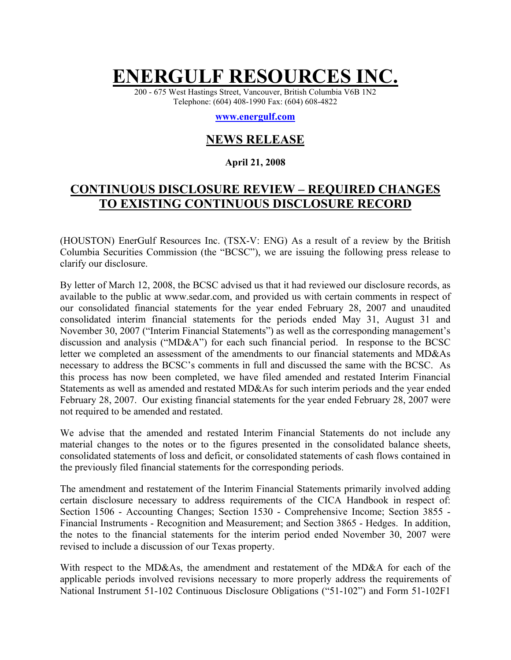# **ENERGULF RESOURCES INC.**

200 - 675 West Hastings Street, Vancouver, British Columbia V6B 1N2 Telephone: (604) 408-1990 Fax: (604) 608-4822

#### **[www.energulf.com](http://www.energulf.com/)**

## **NEWS RELEASE**

#### **April 21, 2008**

## **CONTINUOUS DISCLOSURE REVIEW – REQUIRED CHANGES TO EXISTING CONTINUOUS DISCLOSURE RECORD**

(HOUSTON) EnerGulf Resources Inc. (TSX-V: ENG) As a result of a review by the British Columbia Securities Commission (the "BCSC"), we are issuing the following press release to clarify our disclosure.

By letter of March 12, 2008, the BCSC advised us that it had reviewed our disclosure records, as available to the public at www.sedar.com, and provided us with certain comments in respect of our consolidated financial statements for the year ended February 28, 2007 and unaudited consolidated interim financial statements for the periods ended May 31, August 31 and November 30, 2007 ("Interim Financial Statements") as well as the corresponding management's discussion and analysis ("MD&A") for each such financial period. In response to the BCSC letter we completed an assessment of the amendments to our financial statements and MD&As necessary to address the BCSC's comments in full and discussed the same with the BCSC. As this process has now been completed, we have filed amended and restated Interim Financial Statements as well as amended and restated MD&As for such interim periods and the year ended February 28, 2007. Our existing financial statements for the year ended February 28, 2007 were not required to be amended and restated.

We advise that the amended and restated Interim Financial Statements do not include any material changes to the notes or to the figures presented in the consolidated balance sheets, consolidated statements of loss and deficit, or consolidated statements of cash flows contained in the previously filed financial statements for the corresponding periods.

The amendment and restatement of the Interim Financial Statements primarily involved adding certain disclosure necessary to address requirements of the CICA Handbook in respect of: Section 1506 - Accounting Changes; Section 1530 - Comprehensive Income; Section 3855 - Financial Instruments - Recognition and Measurement; and Section 3865 - Hedges. In addition, the notes to the financial statements for the interim period ended November 30, 2007 were revised to include a discussion of our Texas property.

With respect to the MD&As, the amendment and restatement of the MD&A for each of the applicable periods involved revisions necessary to more properly address the requirements of National Instrument 51-102 Continuous Disclosure Obligations ("51-102") and Form 51-102F1